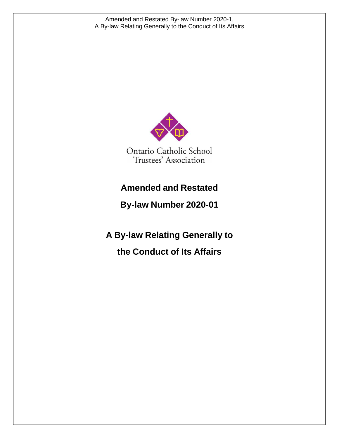

## **Amended and Restated**

**By-law Number 2020-01**

**A By-law Relating Generally to the Conduct of Its Affairs**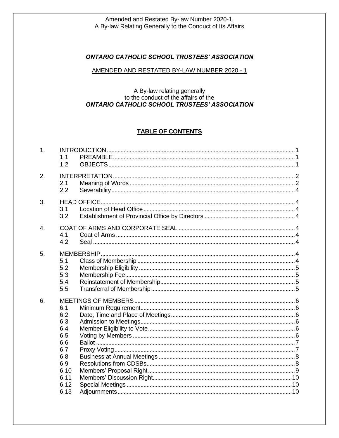## **ONTARIO CATHOLIC SCHOOL TRUSTEES' ASSOCIATION**

#### AMENDED AND RESTATED BY-LAW NUMBER 2020 - 1

## A By-law relating generally to the conduct of the affairs of the **ONTARIO CATHOLIC SCHOOL TRUSTEES' ASSOCIATION**

## **TABLE OF CONTENTS**

| 1.               | 1.1<br>1.2                                                                          |  |
|------------------|-------------------------------------------------------------------------------------|--|
| 2.               | 2.1<br>2.2                                                                          |  |
| 3.               | 3.1<br>3.2                                                                          |  |
| $\overline{4}$ . | 4.1<br>4.2                                                                          |  |
| 5.               | 5.1<br>5.2<br>5.3<br>5.4<br>5.5                                                     |  |
| 6.               | 6.1<br>6.2<br>6.3<br>6.4<br>6.5<br>6.6<br>6.7<br>6.8<br>6.9<br>6.10<br>6.11<br>6.12 |  |
|                  | 6.13                                                                                |  |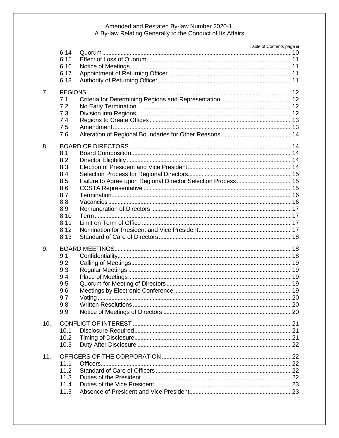|     |      | Table of Contents page iii |  |
|-----|------|----------------------------|--|
|     | 6.14 |                            |  |
|     | 6.15 |                            |  |
|     | 6.16 |                            |  |
|     | 6.17 |                            |  |
|     | 6.18 |                            |  |
| 7.  |      |                            |  |
|     | 7.1  |                            |  |
|     | 7.2  |                            |  |
|     | 7.3  |                            |  |
|     | 7.4  |                            |  |
|     | 7.5  |                            |  |
|     | 7.6  |                            |  |
|     |      |                            |  |
| 8.  |      |                            |  |
|     | 8.1  |                            |  |
|     | 8.2  |                            |  |
|     | 8.3  |                            |  |
|     | 8.4  |                            |  |
|     | 8.5  |                            |  |
|     | 8.6  |                            |  |
|     | 8.7  |                            |  |
|     | 8.8  |                            |  |
|     | 8.9  |                            |  |
|     | 8.10 |                            |  |
|     | 8.11 |                            |  |
|     | 8.12 |                            |  |
|     | 8.13 |                            |  |
|     |      |                            |  |
| 9.  |      |                            |  |
|     | 9.1  |                            |  |
|     | 9.2  |                            |  |
|     | 9.3  |                            |  |
|     | 9.4  |                            |  |
|     | 9.5  |                            |  |
|     | 9.6  |                            |  |
|     | 9.7  |                            |  |
|     | 9.8  |                            |  |
|     | 9.9  |                            |  |
| 10. |      |                            |  |
|     | 10.1 |                            |  |
|     | 10.2 |                            |  |
|     | 10.3 |                            |  |
|     |      |                            |  |
| 11. |      |                            |  |
|     | 11.1 |                            |  |
|     | 11.2 |                            |  |
|     | 11.3 |                            |  |
|     | 11.4 |                            |  |
|     | 11.5 |                            |  |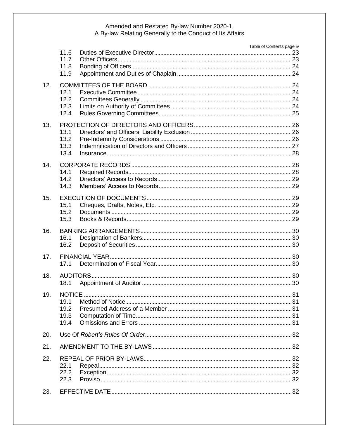|     |              |  | Table of Contents page iv |
|-----|--------------|--|---------------------------|
|     | 11.6         |  |                           |
|     | 11.7<br>11.8 |  |                           |
|     | 11.9         |  |                           |
|     |              |  |                           |
| 12. |              |  |                           |
|     | 12.1         |  |                           |
|     | 12.2<br>12.3 |  |                           |
|     | 12.4         |  |                           |
|     |              |  |                           |
| 13. |              |  |                           |
|     | 13.1         |  |                           |
|     | 13.2         |  |                           |
|     | 13.3         |  |                           |
|     | 13.4         |  |                           |
| 14. |              |  |                           |
|     | 14.1         |  |                           |
|     | 14.2         |  |                           |
|     | 14.3         |  |                           |
| 15. |              |  |                           |
|     | 15.1         |  |                           |
|     | 15.2         |  |                           |
|     | 15.3         |  |                           |
| 16. |              |  |                           |
|     | 16.1         |  |                           |
|     | 16.2         |  |                           |
| 17. |              |  |                           |
|     | 17.1         |  |                           |
|     |              |  |                           |
| 18. | 18.1         |  |                           |
|     |              |  |                           |
| 19. |              |  |                           |
|     | 19.1         |  |                           |
|     | 19.2         |  |                           |
|     | 19.3         |  |                           |
|     | 19.4         |  |                           |
| 20. |              |  |                           |
| 21. |              |  |                           |
| 22. |              |  |                           |
|     | 22.1         |  |                           |
|     | 22.2         |  |                           |
|     | 22.3         |  |                           |
|     |              |  |                           |
| 23. |              |  |                           |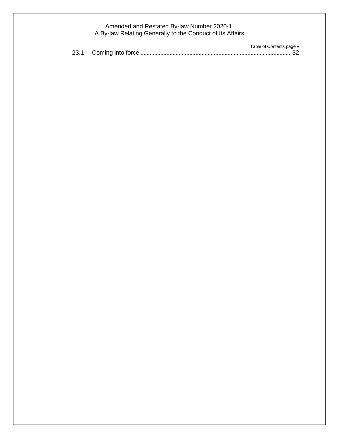|  | Table of Contents page v |
|--|--------------------------|
|  |                          |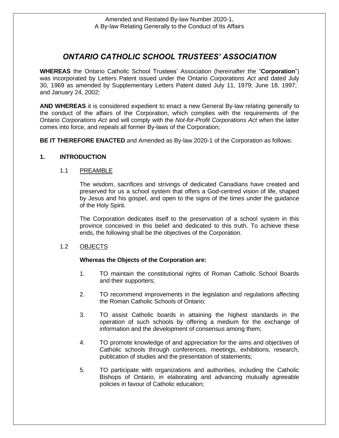## *ONTARIO CATHOLIC SCHOOL TRUSTEES' ASSOCIATION*

**WHEREAS** the Ontario Catholic School Trustees' Association (hereinafter the "**Corporation**") was incorporated by Letters Patent issued under the Ontario *Corporations Act* and dated July 30, 1969 as amended by Supplementary Letters Patent dated July 11, 1979; June 18, 1997; and January 24, 2002;

**AND WHEREAS** it is considered expedient to enact a new General By-law relating generally to the conduct of the affairs of the Corporation, which complies with the requirements of the Ontario *Corporations Act* and will comply with the *Not-for-Profit Corporations Act* when the latter comes into force, and repeals all former By-laws of the Corporation;

**BE IT THEREFORE ENACTED** and Amended as By-law 2020-1 of the Corporation as follows:

## **1. INTRODUCTION**

## 1.1 PREAMBLE

The wisdom, sacrifices and strivings of dedicated Canadians have created and preserved for us a school system that offers a God-centred vision of life, shaped by Jesus and his gospel, and open to the signs of the times under the guidance of the Holy Spirit.

The Corporation dedicates itself to the preservation of a school system in this province conceived in this belief and dedicated to this truth. To achieve these ends, the following shall be the objectives of the Corporation.

## 1.2 OBJECTS

## **Whereas the Objects of the Corporation are:**

- 1. TO maintain the constitutional rights of Roman Catholic School Boards and their supporters;
- 2. TO recommend improvements in the legislation and regulations affecting the Roman Catholic Schools of Ontario;
- 3. TO assist Catholic boards in attaining the highest standards in the operation of such schools by offering a medium for the exchange of information and the development of consensus among them;
- 4. TO promote knowledge of and appreciation for the aims and objectives of Catholic schools through conferences, meetings, exhibitions, research, publication of studies and the presentation of statements;
- 5. TO participate with organizations and authorities, including the Catholic Bishops of Ontario, in elaborating and advancing mutually agreeable policies in favour of Catholic education;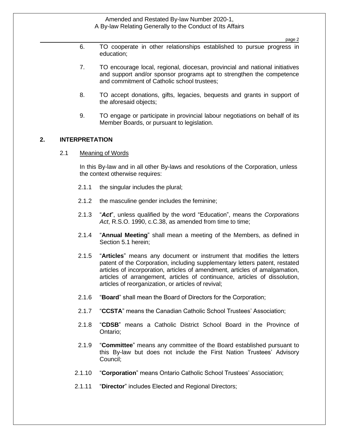page 2

- 6. TO cooperate in other relationships established to pursue progress in education;
- 7. TO encourage local, regional, diocesan, provincial and national initiatives and support and/or sponsor programs apt to strengthen the competence and commitment of Catholic school trustees;
- 8. TO accept donations, gifts, legacies, bequests and grants in support of the aforesaid objects;
- 9. TO engage or participate in provincial labour negotiations on behalf of its Member Boards, or pursuant to legislation.

## **2. INTERPRETATION**

2.1 Meaning of Words

In this By-law and in all other By-laws and resolutions of the Corporation, unless the context otherwise requires:

- 2.1.1 the singular includes the plural;
- 2.1.2 the masculine gender includes the feminine;
- 2.1.3 "*Act*", unless qualified by the word "Education", means the *Corporations Act*, R.S.O. 1990, c.C.38, as amended from time to time;
- 2.1.4 "**Annual Meeting**" shall mean a meeting of the Members, as defined in Section 5.1 herein;
- 2.1.5 "**Articles**" means any document or instrument that modifies the letters patent of the Corporation, including supplementary letters patent, restated articles of incorporation, articles of amendment, articles of amalgamation, articles of arrangement, articles of continuance, articles of dissolution, articles of reorganization, or articles of revival;
- 2.1.6 "**Board**" shall mean the Board of Directors for the Corporation;
- 2.1.7 "**CCSTA**" means the Canadian Catholic School Trustees' Association;
- 2.1.8 "**CDSB**" means a Catholic District School Board in the Province of Ontario;
- 2.1.9 "**Committee**" means any committee of the Board established pursuant to this By-law but does not include the First Nation Trustees' Advisory Council;
- 2.1.10 "**Corporation**" means Ontario Catholic School Trustees' Association;
- 2.1.11 "**Director**" includes Elected and Regional Directors;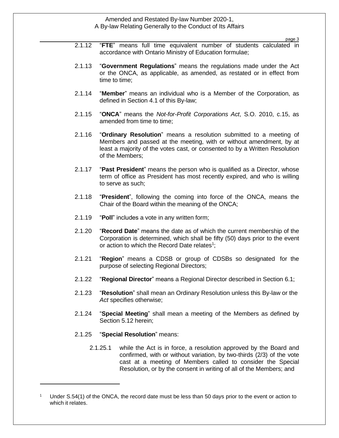page 3

- 2.1.12 "**FTE**" means full time equivalent number of students calculated in accordance with Ontario Ministry of Education formulae;
- 2.1.13 "**Government Regulations**" means the regulations made under the Act or the ONCA, as applicable, as amended, as restated or in effect from time to time;
- 2.1.14 "**Member**" means an individual who is a Member of the Corporation, as defined in Section 4.1 of this By-law;
- 2.1.15 "**ONCA**" means the *Not-for-Profit Corporations Act*, S.O. 2010, c.15, as amended from time to time;
- 2.1.16 "**Ordinary Resolution**" means a resolution submitted to a meeting of Members and passed at the meeting, with or without amendment, by at least a majority of the votes cast, or consented to by a Written Resolution of the Members;
- 2.1.17 "**Past President**" means the person who is qualified as a Director, whose term of office as President has most recently expired, and who is willing to serve as such;
- 2.1.18 "**President**", following the coming into force of the ONCA, means the Chair of the Board within the meaning of the ONCA;
- 2.1.19 "**Poll**" includes a vote in any written form;
- 2.1.20 "**Record Date**" means the date as of which the current membership of the Corporation is determined, which shall be fifty (50) days prior to the event or action to which the Record Date relates<sup>1</sup>;
- 2.1.21 "**Region**" means a CDSB or group of CDSBs so designated for the purpose of selecting Regional Directors;
- 2.1.22 "**Regional Director**" means a Regional Director described in Section 6.1;
- 2.1.23 "**Resolution**" shall mean an Ordinary Resolution unless this By-law or the *Act* specifies otherwise;
- 2.1.24 "**Special Meeting**" shall mean a meeting of the Members as defined by Section 5.12 herein;
- 2.1.25 "**Special Resolution**" means:
	- 2.1.25.1 while the Act is in force, a resolution approved by the Board and confirmed, with or without variation, by two-thirds (2/3) of the vote cast at a meeting of Members called to consider the Special Resolution, or by the consent in writing of all of the Members; and

Under S.54(1) of the ONCA, the record date must be less than 50 days prior to the event or action to which it relates.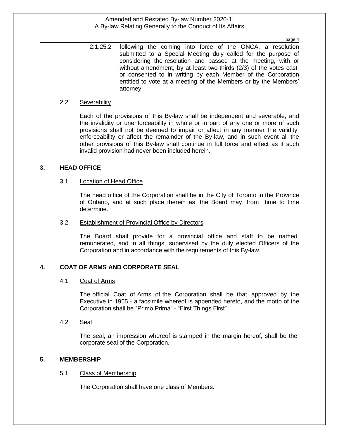page 4

2.1.25.2 following the coming into force of the ONCA, a resolution submitted to a Special Meeting duly called for the purpose of considering the resolution and passed at the meeting, with or without amendment, by at least two-thirds (2/3) of the votes cast, or consented to in writing by each Member of the Corporation entitled to vote at a meeting of the Members or by the Members' attorney.

#### 2.2 Severability

Each of the provisions of this By-law shall be independent and severable, and the invalidity or unenforceability in whole or in part of any one or more of such provisions shall not be deemed to impair or affect in any manner the validity, enforceability or affect the remainder of the By-law, and in such event all the other provisions of this By-law shall continue in full force and effect as if such invalid provision had never been included herein.

## **3. HEAD OFFICE**

## 3.1 Location of Head Office

The head office of the Corporation shall be in the City of Toronto in the Province of Ontario, and at such place therein as the Board may from time to time determine.

## 3.2 Establishment of Provincial Office by Directors

The Board shall provide for a provincial office and staff to be named, remunerated, and in all things, supervised by the duly elected Officers of the Corporation and in accordance with the requirements of this By-law.

## **4. COAT OF ARMS AND CORPORATE SEAL**

## 4.1 Coat of Arms

The official Coat of Arms of the Corporation shall be that approved by the Executive in 1955 - a facsimile whereof is appended hereto, and the motto of the Corporation shall be "Primo Prima" - "First Things First".

4.2 Seal

The seal, an impression whereof is stamped in the margin hereof, shall be the corporate seal of the Corporation.

## **5. MEMBERSHIP**

## 5.1 Class of Membership

The Corporation shall have one class of Members.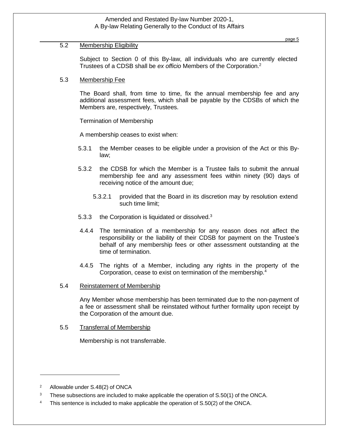## 5.2 Membership Eligibility

Subject to Section 0 of this By-law, all individuals who are currently elected Trustees of a CDSB shall be *ex officio* Members of the Corporation.<sup>2</sup>

## 5.3 Membership Fee

The Board shall, from time to time, fix the annual membership fee and any additional assessment fees, which shall be payable by the CDSBs of which the Members are, respectively, Trustees.

Termination of Membership

A membership ceases to exist when:

- 5.3.1 the Member ceases to be eligible under a provision of the Act or this Bylaw;
- 5.3.2 the CDSB for which the Member is a Trustee fails to submit the annual membership fee and any assessment fees within ninety (90) days of receiving notice of the amount due;
	- 5.3.2.1 provided that the Board in its discretion may by resolution extend such time limit;
- 5.3.3 the Corporation is liquidated or dissolved.<sup>3</sup>
- 4.4.4 The termination of a membership for any reason does not affect the responsibility or the liability of their CDSB for payment on the Trustee's behalf of any membership fees or other assessment outstanding at the time of termination.
- 4.4.5 The rights of a Member, including any rights in the property of the Corporation, cease to exist on termination of the membership.<sup>4</sup>
- 5.4 Reinstatement of Membership

Any Member whose membership has been terminated due to the non-payment of a fee or assessment shall be reinstated without further formality upon receipt by the Corporation of the amount due.

5.5 Transferral of Membership

Membership is not transferrable.

<sup>2</sup> Allowable under S.48(2) of ONCA

<sup>&</sup>lt;sup>3</sup> These subsections are included to make applicable the operation of S.50(1) of the ONCA.

<sup>&</sup>lt;sup>4</sup> This sentence is included to make applicable the operation of S.50(2) of the ONCA.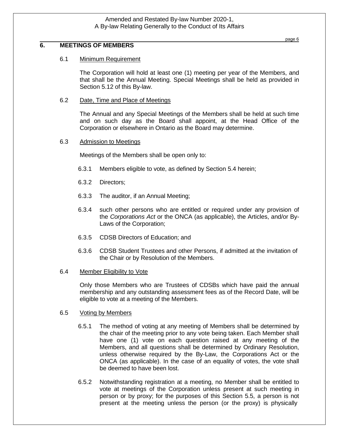## **6. MEETINGS OF MEMBERS**

#### 6.1 Minimum Requirement

The Corporation will hold at least one (1) meeting per year of the Members, and that shall be the Annual Meeting. Special Meetings shall be held as provided in Section 5.12 of this By-law.

#### 6.2 Date, Time and Place of Meetings

The Annual and any Special Meetings of the Members shall be held at such time and on such day as the Board shall appoint, at the Head Office of the Corporation or elsewhere in Ontario as the Board may determine.

#### 6.3 Admission to Meetings

Meetings of the Members shall be open only to:

- 6.3.1 Members eligible to vote, as defined by Section 5.4 herein;
- 6.3.2 Directors;
- 6.3.3 The auditor, if an Annual Meeting;
- 6.3.4 such other persons who are entitled or required under any provision of the *Corporations Act* or the ONCA (as applicable), the Articles, and/or By-Laws of the Corporation;
- 6.3.5 CDSB Directors of Education; and
- 6.3.6 CDSB Student Trustees and other Persons, if admitted at the invitation of the Chair or by Resolution of the Members.

#### 6.4 Member Eligibility to Vote

Only those Members who are Trustees of CDSBs which have paid the annual membership and any outstanding assessment fees as of the Record Date, will be eligible to vote at a meeting of the Members.

#### 6.5 Voting by Members

- 6.5.1 The method of voting at any meeting of Members shall be determined by the chair of the meeting prior to any vote being taken. Each Member shall have one (1) vote on each question raised at any meeting of the Members, and all questions shall be determined by Ordinary Resolution, unless otherwise required by the By-Law, the Corporations Act or the ONCA (as applicable). In the case of an equality of votes, the vote shall be deemed to have been lost.
- 6.5.2 Notwithstanding registration at a meeting, no Member shall be entitled to vote at meetings of the Corporation unless present at such meeting in person or by proxy; for the purposes of this Section 5.5, a person is not present at the meeting unless the person (or the proxy) is physically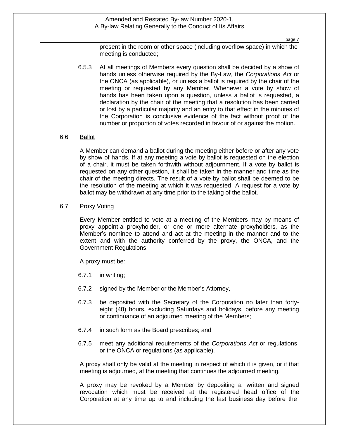page 7

present in the room or other space (including overflow space) in which the meeting is conducted;

6.5.3 At all meetings of Members every question shall be decided by a show of hands unless otherwise required by the By-Law, the *Corporations Act* or the ONCA (as applicable), or unless a ballot is required by the chair of the meeting or requested by any Member. Whenever a vote by show of hands has been taken upon a question, unless a ballot is requested, a declaration by the chair of the meeting that a resolution has been carried or lost by a particular majority and an entry to that effect in the minutes of the Corporation is conclusive evidence of the fact without proof of the number or proportion of votes recorded in favour of or against the motion.

## 6.6 Ballot

A Member can demand a ballot during the meeting either before or after any vote by show of hands. If at any meeting a vote by ballot is requested on the election of a chair, it must be taken forthwith without adjournment. If a vote by ballot is requested on any other question, it shall be taken in the manner and time as the chair of the meeting directs. The result of a vote by ballot shall be deemed to be the resolution of the meeting at which it was requested. A request for a vote by ballot may be withdrawn at any time prior to the taking of the ballot.

#### 6.7 Proxy Voting

Every Member entitled to vote at a meeting of the Members may by means of proxy appoint a proxyholder, or one or more alternate proxyholders, as the Member's nominee to attend and act at the meeting in the manner and to the extent and with the authority conferred by the proxy, the ONCA, and the Government Regulations.

A proxy must be:

- 6.7.1 in writing;
- 6.7.2 signed by the Member or the Member's Attorney,
- 6.7.3 be deposited with the Secretary of the Corporation no later than fortyeight (48) hours, excluding Saturdays and holidays, before any meeting or continuance of an adjourned meeting of the Members;
- 6.7.4 in such form as the Board prescribes; and
- 6.7.5 meet any additional requirements of the *Corporations Act* or regulations or the ONCA or regulations (as applicable).

A proxy shall only be valid at the meeting in respect of which it is given, or if that meeting is adjourned, at the meeting that continues the adjourned meeting.

A proxy may be revoked by a Member by depositing a written and signed revocation which must be received at the registered head office of the Corporation at any time up to and including the last business day before the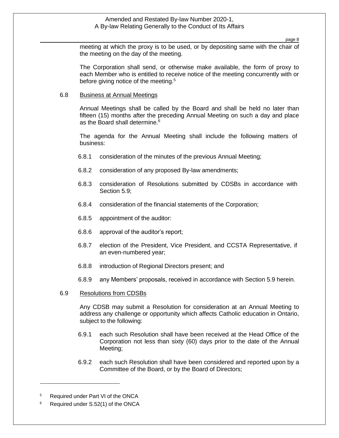page 8

meeting at which the proxy is to be used, or by depositing same with the chair of the meeting on the day of the meeting.

The Corporation shall send, or otherwise make available, the form of proxy to each Member who is entitled to receive notice of the meeting concurrently with or before giving notice of the meeting.<sup>5</sup>

#### 6.8 Business at Annual Meetings

Annual Meetings shall be called by the Board and shall be held no later than fifteen (15) months after the preceding Annual Meeting on such a day and place as the Board shall determine.<sup>6</sup>

The agenda for the Annual Meeting shall include the following matters of business:

- 6.8.1 consideration of the minutes of the previous Annual Meeting;
- 6.8.2 consideration of any proposed By-law amendments;
- 6.8.3 consideration of Resolutions submitted by CDSBs in accordance with Section 5.9;
- 6.8.4 consideration of the financial statements of the Corporation;
- 6.8.5 appointment of the auditor:
- 6.8.6 approval of the auditor's report;
- 6.8.7 election of the President, Vice President, and CCSTA Representative, if an even-numbered year;
- 6.8.8 introduction of Regional Directors present; and
- 6.8.9 any Members' proposals, received in accordance with Section 5.9 herein.

#### 6.9 Resolutions from CDSBs

Any CDSB may submit a Resolution for consideration at an Annual Meeting to address any challenge or opportunity which affects Catholic education in Ontario, subject to the following:

- 6.9.1 each such Resolution shall have been received at the Head Office of the Corporation not less than sixty (60) days prior to the date of the Annual Meeting;
- 6.9.2 each such Resolution shall have been considered and reported upon by a Committee of the Board, or by the Board of Directors;

<sup>5</sup> Required under Part VI of the ONCA

<sup>&</sup>lt;sup>6</sup> Required under S.52(1) of the ONCA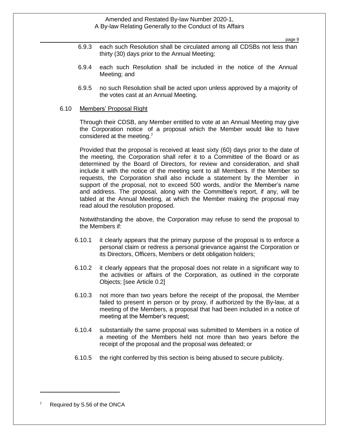page 9

- 6.9.3 each such Resolution shall be circulated among all CDSBs not less than thirty (30) days prior to the Annual Meeting;
- 6.9.4 each such Resolution shall be included in the notice of the Annual Meeting; and
- 6.9.5 no such Resolution shall be acted upon unless approved by a majority of the votes cast at an Annual Meeting.

#### 6.10 Members' Proposal Right

Through their CDSB, any Member entitled to vote at an Annual Meeting may give the Corporation notice of a proposal which the Member would like to have considered at the meeting.<sup>7</sup>

Provided that the proposal is received at least sixty (60) days prior to the date of the meeting, the Corporation shall refer it to a Committee of the Board or as determined by the Board of Directors, for review and consideration, and shall include it with the notice of the meeting sent to all Members. If the Member so requests, the Corporation shall also include a statement by the Member in support of the proposal, not to exceed 500 words, and/or the Member's name and address. The proposal, along with the Committee's report, if any, will be tabled at the Annual Meeting, at which the Member making the proposal may read aloud the resolution proposed.

Notwithstanding the above, the Corporation may refuse to send the proposal to the Members if:

- 6.10.1 it clearly appears that the primary purpose of the proposal is to enforce a personal claim or redress a personal grievance against the Corporation or its Directors, Officers, Members or debt obligation holders;
- 6.10.2 it clearly appears that the proposal does not relate in a significant way to the activities or affairs of the Corporation, as outlined in the corporate Objects; [see Article 0.2]
- 6.10.3 not more than two years before the receipt of the proposal, the Member failed to present in person or by proxy, if authorized by the By-law, at a meeting of the Members, a proposal that had been included in a notice of meeting at the Member's request;
- 6.10.4 substantially the same proposal was submitted to Members in a notice of a meeting of the Members held not more than two years before the receipt of the proposal and the proposal was defeated; or
- 6.10.5 the right conferred by this section is being abused to secure publicity.

Required by S.56 of the ONCA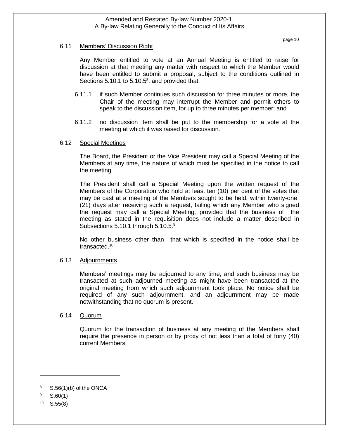## 6.11 Members' Discussion Right

Any Member entitled to vote at an Annual Meeting is entitled to raise for discussion at that meeting any matter with respect to which the Member would have been entitled to submit a proposal, subject to the conditions outlined in Sections  $5.10.1$  to  $5.10.5^8$ , and provided that:

- 6.11.1 if such Member continues such discussion for three minutes or more, the Chair of the meeting may interrupt the Member and permit others to speak to the discussion item, for up to three minutes per member; and
- 6.11.2 no discussion item shall be put to the membership for a vote at the meeting at which it was raised for discussion.

## 6.12 Special Meetings

The Board, the President or the Vice President may call a Special Meeting of the Members at any time, the nature of which must be specified in the notice to call the meeting.

The President shall call a Special Meeting upon the written request of the Members of the Corporation who hold at least ten (10) per cent of the votes that may be cast at a meeting of the Members sought to be held, within twenty-one (21) days after receiving such a request, failing which any Member who signed the request may call a Special Meeting, provided that the business of the meeting as stated in the requisition does not include a matter described in Subsections  $5.10.1$  through  $5.10.5.^9$ 

No other business other than that which is specified in the notice shall be transacted.<sup>10</sup>

## 6.13 Adjournments

Members' meetings may be adjourned to any time, and such business may be transacted at such adjourned meeting as might have been transacted at the original meeting from which such adjournment took place. No notice shall be required of any such adjournment, and an adjournment may be made notwithstanding that no quorum is present.

#### 6.14 Quorum

Quorum for the transaction of business at any meeting of the Members shall require the presence in person or by proxy of not less than a total of forty (40) current Members.

 $8\qquad$  S.56(1)(b) of the ONCA

 $9$  S.60(1)

 $10$  S.55(8)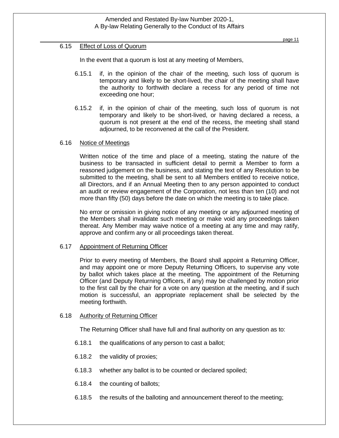### 6.15 Effect of Loss of Quorum

In the event that a quorum is lost at any meeting of Members,

- 6.15.1 if, in the opinion of the chair of the meeting, such loss of quorum is temporary and likely to be short-lived, the chair of the meeting shall have the authority to forthwith declare a recess for any period of time not exceeding one hour;
- 6.15.2 if, in the opinion of chair of the meeting, such loss of quorum is not temporary and likely to be short-lived, or having declared a recess, a quorum is not present at the end of the recess, the meeting shall stand adjourned, to be reconvened at the call of the President.

## 6.16 Notice of Meetings

Written notice of the time and place of a meeting, stating the nature of the business to be transacted in sufficient detail to permit a Member to form a reasoned judgement on the business, and stating the text of any Resolution to be submitted to the meeting, shall be sent to all Members entitled to receive notice, all Directors, and if an Annual Meeting then to any person appointed to conduct an audit or review engagement of the Corporation, not less than ten (10) and not more than fifty (50) days before the date on which the meeting is to take place.

No error or omission in giving notice of any meeting or any adjourned meeting of the Members shall invalidate such meeting or make void any proceedings taken thereat. Any Member may waive notice of a meeting at any time and may ratify, approve and confirm any or all proceedings taken thereat.

#### 6.17 Appointment of Returning Officer

Prior to every meeting of Members, the Board shall appoint a Returning Officer, and may appoint one or more Deputy Returning Officers, to supervise any vote by ballot which takes place at the meeting. The appointment of the Returning Officer (and Deputy Returning Officers, if any) may be challenged by motion prior to the first call by the chair for a vote on any question at the meeting, and if such motion is successful, an appropriate replacement shall be selected by the meeting forthwith.

## 6.18 Authority of Returning Officer

The Returning Officer shall have full and final authority on any question as to:

- 6.18.1 the qualifications of any person to cast a ballot;
- 6.18.2 the validity of proxies;
- 6.18.3 whether any ballot is to be counted or declared spoiled;
- 6.18.4 the counting of ballots;
- 6.18.5 the results of the balloting and announcement thereof to the meeting;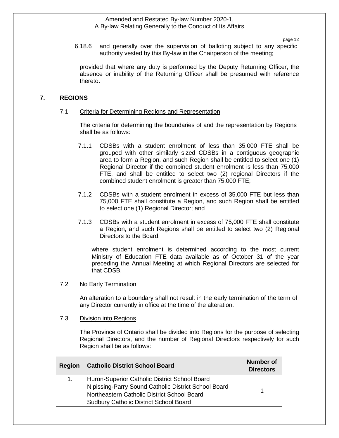page 12

6.18.6 and generally over the supervision of balloting subject to any specific authority vested by this By-law in the Chairperson of the meeting;

provided that where any duty is performed by the Deputy Returning Officer, the absence or inability of the Returning Officer shall be presumed with reference thereto.

## **7. REGIONS**

## 7.1 Criteria for Determining Regions and Representation

The criteria for determining the boundaries of and the representation by Regions shall be as follows:

- 7.1.1 CDSBs with a student enrolment of less than 35,000 FTE shall be grouped with other similarly sized CDSBs in a contiguous geographic area to form a Region, and such Region shall be entitled to select one (1) Regional Director if the combined student enrolment is less than 75,000 FTE, and shall be entitled to select two (2) regional Directors if the combined student enrolment is greater than 75,000 FTE;
- 7.1.2 CDSBs with a student enrolment in excess of 35,000 FTE but less than 75,000 FTE shall constitute a Region, and such Region shall be entitled to select one (1) Regional Director; and
- 7.1.3 CDSBs with a student enrolment in excess of 75,000 FTE shall constitute a Region, and such Regions shall be entitled to select two (2) Regional Directors to the Board,

where student enrolment is determined according to the most current Ministry of Education FTE data available as of October 31 of the year preceding the Annual Meeting at which Regional Directors are selected for that CDSB.

## 7.2 No Early Termination

An alteration to a boundary shall not result in the early termination of the term of any Director currently in office at the time of the alteration.

## 7.3 Division into Regions

The Province of Ontario shall be divided into Regions for the purpose of selecting Regional Directors, and the number of Regional Directors respectively for such Region shall be as follows:

| <b>Region</b> | <b>Catholic District School Board</b>                                                                                                                                                          | Number of<br><b>Directors</b> |
|---------------|------------------------------------------------------------------------------------------------------------------------------------------------------------------------------------------------|-------------------------------|
| 1.            | Huron-Superior Catholic District School Board<br>Nipissing-Parry Sound Catholic District School Board<br>Northeastern Catholic District School Board<br>Sudbury Catholic District School Board |                               |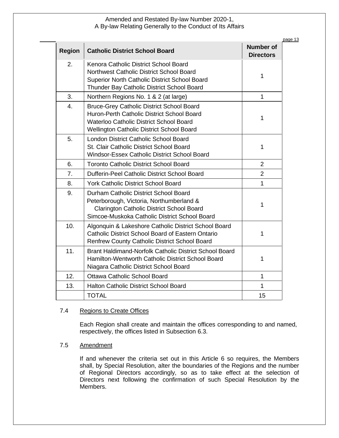| <b>Region</b>    | <b>Catholic District School Board</b>                                                                                                                                                         | <b>Number of</b><br><b>Directors</b> |
|------------------|-----------------------------------------------------------------------------------------------------------------------------------------------------------------------------------------------|--------------------------------------|
| 2.               | Kenora Catholic District School Board<br>Northwest Catholic District School Board<br>Superior North Catholic District School Board<br>Thunder Bay Catholic District School Board              | 1                                    |
| 3.               | Northern Regions No. 1 & 2 (at large)                                                                                                                                                         | $\mathbf{1}$                         |
| $\overline{4}$ . | <b>Bruce-Grey Catholic District School Board</b><br>Huron-Perth Catholic District School Board<br>Waterloo Catholic District School Board<br><b>Wellington Catholic District School Board</b> | $\mathbf{1}$                         |
| 5.               | London District Catholic School Board<br>St. Clair Catholic District School Board<br>Windsor-Essex Catholic District School Board                                                             | $\mathbf{1}$                         |
| 6.               | <b>Toronto Catholic District School Board</b>                                                                                                                                                 | $\overline{2}$                       |
| $\overline{7}$ . | Dufferin-Peel Catholic District School Board                                                                                                                                                  | $\overline{2}$                       |
| 8.               | <b>York Catholic District School Board</b>                                                                                                                                                    | $\mathbf{1}$                         |
| 9.               | Durham Catholic District School Board<br>Peterborough, Victoria, Northumberland &<br><b>Clarington Catholic District School Board</b><br>Simcoe-Muskoka Catholic District School Board        | $\mathbf 1$                          |
| 10.              | Algonquin & Lakeshore Catholic District School Board<br><b>Catholic District School Board of Eastern Ontario</b><br><b>Renfrew County Catholic District School Board</b>                      | 1                                    |
| 11.              | Brant Haldimand-Norfolk Catholic District School Board<br>Hamilton-Wentworth Catholic District School Board<br>Niagara Catholic District School Board                                         | 1                                    |
| 12.              | <b>Ottawa Catholic School Board</b>                                                                                                                                                           | $\mathbf{1}$                         |
| 13.              | <b>Halton Catholic District School Board</b>                                                                                                                                                  | $\mathbf{1}$                         |
|                  | <b>TOTAL</b>                                                                                                                                                                                  | 15                                   |

## 7.4 Regions to Create Offices

Each Region shall create and maintain the offices corresponding to and named, respectively, the offices listed in Subsection 6.3.

## 7.5 Amendment

If and whenever the criteria set out in this Article 6 so requires, the Members shall, by Special Resolution, alter the boundaries of the Regions and the number of Regional Directors accordingly, so as to take effect at the selection of Directors next following the confirmation of such Special Resolution by the Members.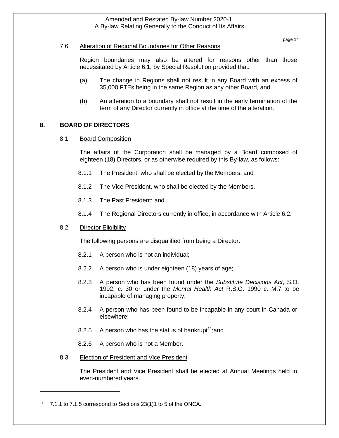page 14

### 7.6 Alteration of Regional Boundaries for Other Reasons

Region boundaries may also be altered for reasons other than those necessitated by Article 6.1, by Special Resolution provided that:

- (a) The change in Regions shall not result in any Board with an excess of 35,000 FTEs being in the same Region as any other Board, and
- (b) An alteration to a boundary shall not result in the early termination of the term of any Director currently in office at the time of the alteration.

## **8. BOARD OF DIRECTORS**

## 8.1 Board Composition

The affairs of the Corporation shall be managed by a Board composed of eighteen (18) Directors, or as otherwise required by this By-law, as follows:

- 8.1.1 The President, who shall be elected by the Members; and
- 8.1.2 The Vice President, who shall be elected by the Members.
- 8.1.3 The Past President; and
- 8.1.4 The Regional Directors currently in office, in accordance with Article 6.2.

## 8.2 Director Eligibility

The following persons are disqualified from being a Director:

- 8.2.1 A person who is not an individual;
- 8.2.2 A person who is under eighteen (18) years of age;
- 8.2.3 A person who has been found under the *Substitute Decisions Act*, S.O. 1992, c. 30 or under the *Mental Health Act* R.S.O. 1990 c. M.7 to be incapable of managing property;
- 8.2.4 A person who has been found to be incapable in any court in Canada or elsewhere;
- 8.2.5 A person who has the status of bankrupt<sup>11</sup>; and
- 8.2.6 A person who is not a Member.
- 8.3 Election of President and Vice President

The President and Vice President shall be elected at Annual Meetings held in even-numbered years.

<sup>11</sup> 7.1.1 to 7.1.5 correspond to Sections 23(1)1 to 5 of the ONCA.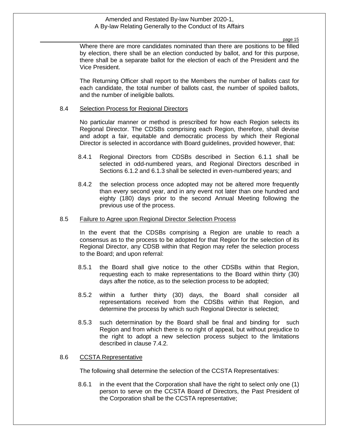page 15

Where there are more candidates nominated than there are positions to be filled by election, there shall be an election conducted by ballot, and for this purpose, there shall be a separate ballot for the election of each of the President and the Vice President.

The Returning Officer shall report to the Members the number of ballots cast for each candidate, the total number of ballots cast, the number of spoiled ballots, and the number of ineligible ballots.

#### 8.4 Selection Process for Regional Directors

No particular manner or method is prescribed for how each Region selects its Regional Director. The CDSBs comprising each Region, therefore, shall devise and adopt a fair, equitable and democratic process by which their Regional Director is selected in accordance with Board guidelines, provided however, that:

- 8.4.1 Regional Directors from CDSBs described in Section 6.1.1 shall be selected in odd-numbered years, and Regional Directors described in Sections 6.1.2 and 6.1.3 shall be selected in even-numbered years; and
- 8.4.2 the selection process once adopted may not be altered more frequently than every second year, and in any event not later than one hundred and eighty (180) days prior to the second Annual Meeting following the previous use of the process.

#### 8.5 Failure to Agree upon Regional Director Selection Process

In the event that the CDSBs comprising a Region are unable to reach a consensus as to the process to be adopted for that Region for the selection of its Regional Director, any CDSB within that Region may refer the selection process to the Board; and upon referral:

- 8.5.1 the Board shall give notice to the other CDSBs within that Region, requesting each to make representations to the Board within thirty (30) days after the notice, as to the selection process to be adopted;
- 8.5.2 within a further thirty (30) days, the Board shall consider all representations received from the CDSBs within that Region, and determine the process by which such Regional Director is selected;
- 8.5.3 such determination by the Board shall be final and binding for such Region and from which there is no right of appeal, but without prejudice to the right to adopt a new selection process subject to the limitations described in clause 7.4.2.

#### 8.6 CCSTA Representative

The following shall determine the selection of the CCSTA Representatives:

8.6.1 in the event that the Corporation shall have the right to select only one (1) person to serve on the CCSTA Board of Directors, the Past President of the Corporation shall be the CCSTA representative;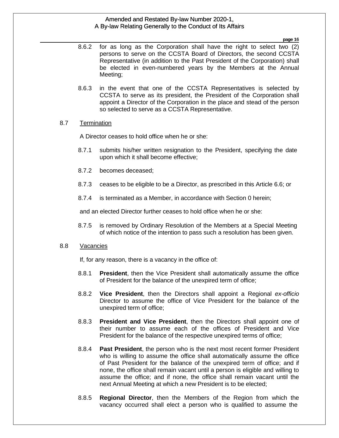page 16 page16

- 8.6.2 for as long as the Corporation shall have the right to select two (2) persons to serve on the CCSTA Board of Directors, the second CCSTA Representative (in addition to the Past President of the Corporation) shall be elected in even-numbered years by the Members at the Annual Meeting;
- 8.6.3 in the event that one of the CCSTA Representatives is selected by CCSTA to serve as its president, the President of the Corporation shall appoint a Director of the Corporation in the place and stead of the person so selected to serve as a CCSTA Representative.

### 8.7 Termination

A Director ceases to hold office when he or she:

- 8.7.1 submits his/her written resignation to the President, specifying the date upon which it shall become effective;
- 8.7.2 becomes deceased;
- 8.7.3 ceases to be eligible to be a Director, as prescribed in this Article 6.6; or
- 8.7.4 is terminated as a Member, in accordance with Section 0 herein;

and an elected Director further ceases to hold office when he or she:

8.7.5 is removed by Ordinary Resolution of the Members at a Special Meeting of which notice of the intention to pass such a resolution has been given.

## 8.8 Vacancies

If, for any reason, there is a vacancy in the office of:

- 8.8.1 **President**, then the Vice President shall automatically assume the office of President for the balance of the unexpired term of office;
- 8.8.2 **Vice President**, then the Directors shall appoint a Regional *ex-officio* Director to assume the office of Vice President for the balance of the unexpired term of office;
- 8.8.3 **President and Vice President**, then the Directors shall appoint one of their number to assume each of the offices of President and Vice President for the balance of the respective unexpired terms of office;
- 8.8.4 **Past President**, the person who is the next most recent former President who is willing to assume the office shall automatically assume the office of Past President for the balance of the unexpired term of office; and if none, the office shall remain vacant until a person is eligible and willing to assume the office; and if none, the office shall remain vacant until the next Annual Meeting at which a new President is to be elected;
- 8.8.5 **Regional Director**, then the Members of the Region from which the vacancy occurred shall elect a person who is qualified to assume the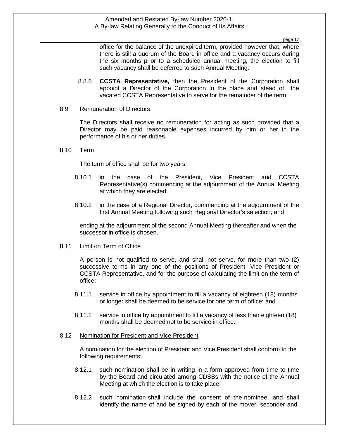page 17

office for the balance of the unexpired term, provided however that, where there is still a quorum of the Board in office and a vacancy occurs during the six months prior to a scheduled annual meeting, the election to fill such vacancy shall be deferred to such Annual Meeting.

8.8.6 **CCSTA Representative,** then the President of the Corporation shall appoint a Director of the Corporation in the place and stead of the vacated CCSTA Representative to serve for the remainder of the term.

#### 8.9 Remuneration of Directors

The Directors shall receive no remuneration for acting as such provided that a Director may be paid reasonable expenses incurred by him or her in the performance of his or her duties.

#### 8.10 Term

The term of office shall be for two years,

- 8.10.1 in the case of the President, Vice President and CCSTA Representative(s) commencing at the adjournment of the Annual Meeting at which they are elected;
- 8.10.2 in the case of a Regional Director, commencing at the adjournment of the first Annual Meeting following such Regional Director's selection; and

ending at the adjournment of the second Annual Meeting thereafter and when the successor in office is chosen.

#### 8.11 Limit on Term of Office

A person is not qualified to serve, and shall not serve, for more than two (2) successive terms in any one of the positions of President, Vice President or CCSTA Representative, and for the purpose of calculating the limit on the term of office:

- 8.11.1 service in office by appointment to fill a vacancy of eighteen (18) months or longer shall be deemed to be service for one term of office; and
- 8.11.2 service in office by appointment to fill a vacancy of less than eighteen (18) months shall be deemed not to be service in office.

#### 8.12 Nomination for President and Vice President

A nomination for the election of President and Vice President shall conform to the following requirements:

- 8.12.1 such nomination shall be in writing in a form approved from time to time by the Board and circulated among CDSBs with the notice of the Annual Meeting at which the election is to take place;
- 8.12.2 such nomination shall include the consent of the nominee, and shall identify the name of and be signed by each of the mover, seconder and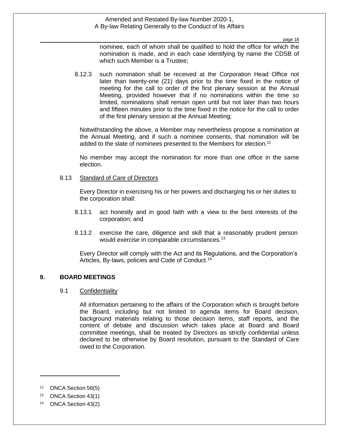page 18

nominee, each of whom shall be qualified to hold the office for which the nomination is made, and in each case identifying by name the CDSB of which such Member is a Trustee;

8.12.3 such nomination shall be received at the Corporation Head Office not later than twenty-one (21) days prior to the time fixed in the notice of meeting for the call to order of the first plenary session at the Annual Meeting, provided however that if no nominations within the time so limited, nominations shall remain open until but not later than two hours and fifteen minutes prior to the time fixed in the notice for the call to order of the first plenary session at the Annual Meeting;

Notwithstanding the above, a Member may nevertheless propose a nomination at the Annual Meeting, and if such a nominee consents, that nomination will be added to the slate of nominees presented to the Members for election.<sup>12</sup>

No member may accept the nomination for more than one office in the same election.

## 8.13 Standard of Care of Directors

Every Director in exercising his or her powers and discharging his or her duties to the corporation shall:

- 8.13.1 act honestly and in good faith with a view to the best interests of the corporation; and
- 8.13.2 exercise the care, diligence and skill that a reasonably prudent person would exercise in comparable circumstances.<sup>13</sup>

Every Director will comply with the Act and its Regulations, and the Corporation's Articles, By-laws, policies and Code of Conduct.<sup>14</sup>

## **9. BOARD MEETINGS**

#### 9.1 Confidentiality

All information pertaining to the affairs of the Corporation which is brought before the Board, including but not limited to agenda items for Board decision, background materials relating to those decision items, staff reports, and the content of debate and discussion which takes place at Board and Board committee meetings, shall be treated by Directors as strictly confidential unless declared to be otherwise by Board resolution, pursuant to the Standard of Care owed to the Corporation.

<sup>12</sup> ONCA Section 56(5)

<sup>13</sup> ONCA Section 43(1)

<sup>14</sup> ONCA Section 43(2)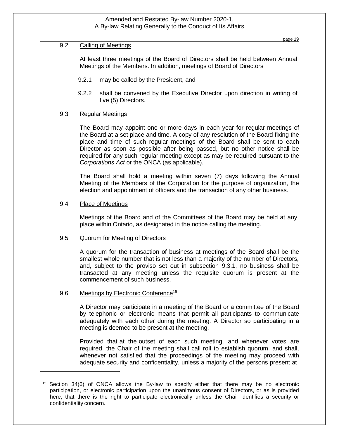## 9.2 Calling of Meetings

At least three meetings of the Board of Directors shall be held between Annual Meetings of the Members. In addition, meetings of Board of Directors

- 9.2.1 may be called by the President, and
- 9.2.2 shall be convened by the Executive Director upon direction in writing of five (5) Directors.

## 9.3 Regular Meetings

The Board may appoint one or more days in each year for regular meetings of the Board at a set place and time. A copy of any resolution of the Board fixing the place and time of such regular meetings of the Board shall be sent to each Director as soon as possible after being passed, but no other notice shall be required for any such regular meeting except as may be required pursuant to the *Corporations Act* or the ONCA (as applicable).

The Board shall hold a meeting within seven (7) days following the Annual Meeting of the Members of the Corporation for the purpose of organization, the election and appointment of officers and the transaction of any other business.

## 9.4 Place of Meetings

Meetings of the Board and of the Committees of the Board may be held at any place within Ontario, as designated in the notice calling the meeting.

#### 9.5 Quorum for Meeting of Directors

A quorum for the transaction of business at meetings of the Board shall be the smallest whole number that is not less than a majority of the number of Directors, and, subject to the proviso set out in subsection 9.3.1, no business shall be transacted at any meeting unless the requisite quorum is present at the commencement of such business.

#### 9.6 Meetings by Electronic Conference<sup>15</sup>

A Director may participate in a meeting of the Board or a committee of the Board by telephonic or electronic means that permit all participants to communicate adequately with each other during the meeting. A Director so participating in a meeting is deemed to be present at the meeting.

Provided that at the outset of each such meeting, and whenever votes are required, the Chair of the meeting shall call roll to establish quorum, and shall, whenever not satisfied that the proceedings of the meeting may proceed with adequate security and confidentiality, unless a majority of the persons present at

<sup>15</sup> Section 34(6) of ONCA allows the By-law to specify either that there may be no electronic participation, or electronic participation upon the unanimous consent of Directors, or as is provided here, that there is the right to participate electronically unless the Chair identifies a security or confidentiality concern.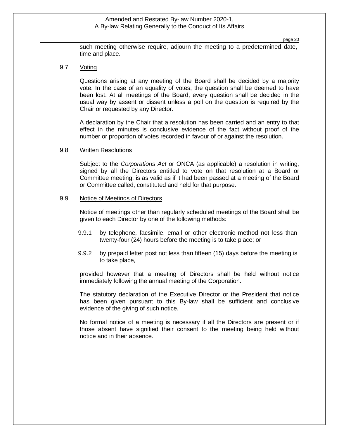page 20

such meeting otherwise require, adjourn the meeting to a predetermined date, time and place.

#### 9.7 Voting

Questions arising at any meeting of the Board shall be decided by a majority vote. In the case of an equality of votes, the question shall be deemed to have been lost. At all meetings of the Board, every question shall be decided in the usual way by assent or dissent unless a poll on the question is required by the Chair or requested by any Director.

A declaration by the Chair that a resolution has been carried and an entry to that effect in the minutes is conclusive evidence of the fact without proof of the number or proportion of votes recorded in favour of or against the resolution.

### 9.8 Written Resolutions

Subject to the *Corporations Act* or ONCA (as applicable) a resolution in writing, signed by all the Directors entitled to vote on that resolution at a Board or Committee meeting, is as valid as if it had been passed at a meeting of the Board or Committee called, constituted and held for that purpose.

#### 9.9 Notice of Meetings of Directors

Notice of meetings other than regularly scheduled meetings of the Board shall be given to each Director by one of the following methods:

- 9.9.1 by telephone, facsimile, email or other electronic method not less than twenty-four (24) hours before the meeting is to take place; or
- 9.9.2 by prepaid letter post not less than fifteen (15) days before the meeting is to take place,

provided however that a meeting of Directors shall be held without notice immediately following the annual meeting of the Corporation.

The statutory declaration of the Executive Director or the President that notice has been given pursuant to this By-law shall be sufficient and conclusive evidence of the giving of such notice.

No formal notice of a meeting is necessary if all the Directors are present or if those absent have signified their consent to the meeting being held without notice and in their absence.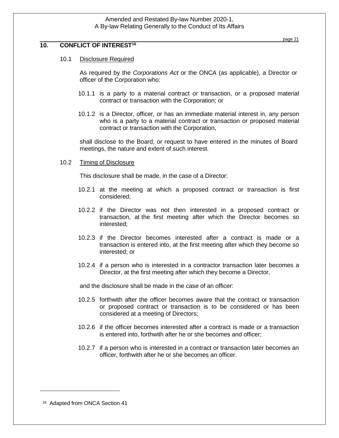## **10. CONFLICT OF INTEREST<sup>16</sup>**

## 10.1 Disclosure Required

As required by the *Corporations Act* or the ONCA (as applicable), a Director or officer of the Corporation who:

- 10.1.1 is a party to a material contract or transaction, or a proposed material contract or transaction with the Corporation; or
- 10.1.2 is a Director, officer, or has an immediate material interest in, any person who is a party to a material contract or transaction or proposed material contract or transaction with the Corporation,

shall disclose to the Board, or request to have entered in the minutes of Board meetings, the nature and extent of such interest.

#### 10.2 Timing of Disclosure

This disclosure shall be made, in the case of a Director:

- 10.2.1 at the meeting at which a proposed contract or transaction is first considered;
- 10.2.2 if the Director was not then interested in a proposed contract or transaction, at the first meeting after which the Director becomes so interested;
- 10.2.3 if the Director becomes interested after a contract is made or a transaction is entered into, at the first meeting after which they become so interested; or
- 10.2.4 if a person who is interested in a contractor transaction later becomes a Director, at the first meeting after which they become a Director,

and the disclosure shall be made in the case of an officer:

- 10.2.5 forthwith after the officer becomes aware that the contract or transaction or proposed contract or transaction is to be considered or has been considered at a meeting of Directors;
- 10.2.6 if the officer becomes interested after a contract is made or a transaction is entered into, forthwith after he or she becomes and officer;
- 10.2.7 if a person who is interested in a contract or transaction later becomes an officer, forthwith after he or she becomes an officer.

page 21

<sup>&</sup>lt;sup>16</sup> Adapted from ONCA Section 41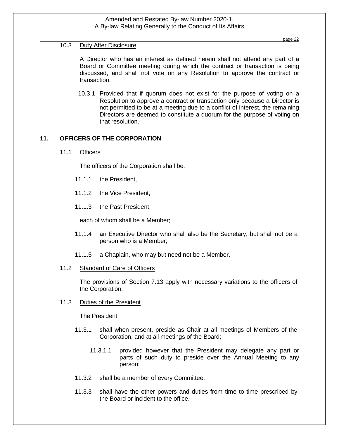## 10.3 Duty After Disclosure

A Director who has an interest as defined herein shall not attend any part of a Board or Committee meeting during which the contract or transaction is being discussed, and shall not vote on any Resolution to approve the contract or transaction.

10.3.1 Provided that if quorum does not exist for the purpose of voting on a Resolution to approve a contract or transaction only because a Director is not permitted to be at a meeting due to a conflict of interest, the remaining Directors are deemed to constitute a quorum for the purpose of voting on that resolution.

## **11. OFFICERS OF THE CORPORATION**

11.1 Officers

The officers of the Corporation shall be:

- 11.1.1 the President,
- 11.1.2 the Vice President,
- 11.1.3 the Past President,

each of whom shall be a Member;

- 11.1.4 an Executive Director who shall also be the Secretary, but shall not be a person who is a Member;
- 11.1.5 a Chaplain, who may but need not be a Member.
- 11.2 Standard of Care of Officers

The provisions of Section 7.13 apply with necessary variations to the officers of the Corporation.

11.3 Duties of the President

The President:

- 11.3.1 shall when present, preside as Chair at all meetings of Members of the Corporation, and at all meetings of the Board;
	- 11.3.1.1 provided however that the President may delegate any part or parts of such duty to preside over the Annual Meeting to any person;
- 11.3.2 shall be a member of every Committee;
- 11.3.3 shall have the other powers and duties from time to time prescribed by the Board or incident to the office.

page 22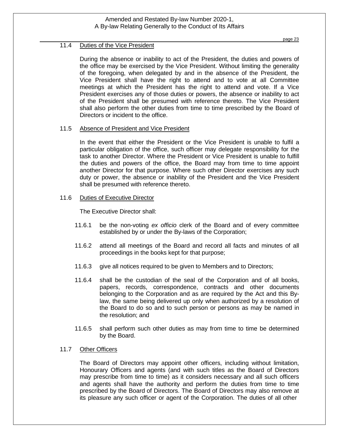## 11.4 Duties of the Vice President

During the absence or inability to act of the President, the duties and powers of the office may be exercised by the Vice President. Without limiting the generality of the foregoing, when delegated by and in the absence of the President, the Vice President shall have the right to attend and to vote at all Committee meetings at which the President has the right to attend and vote. If a Vice President exercises any of those duties or powers, the absence or inability to act of the President shall be presumed with reference thereto. The Vice President shall also perform the other duties from time to time prescribed by the Board of Directors or incident to the office.

### 11.5 Absence of President and Vice President

In the event that either the President or the Vice President is unable to fulfil a particular obligation of the office, such officer may delegate responsibility for the task to another Director. Where the President or Vice President is unable to fulfill the duties and powers of the office, the Board may from time to time appoint another Director for that purpose. Where such other Director exercises any such duty or power, the absence or inability of the President and the Vice President shall be presumed with reference thereto.

### 11.6 Duties of Executive Director

The Executive Director shall:

- 11.6.1 be the non-voting *ex officio* clerk of the Board and of every committee established by or under the By-laws of the Corporation;
- 11.6.2 attend all meetings of the Board and record all facts and minutes of all proceedings in the books kept for that purpose;
- 11.6.3 give all notices required to be given to Members and to Directors;
- 11.6.4 shall be the custodian of the seal of the Corporation and of all books, papers, records, correspondence, contracts and other documents belonging to the Corporation and as are required by the Act and this Bylaw, the same being delivered up only when authorized by a resolution of the Board to do so and to such person or persons as may be named in the resolution; and
- 11.6.5 shall perform such other duties as may from time to time be determined by the Board.

## 11.7 Other Officers

The Board of Directors may appoint other officers, including without limitation, Honourary Officers and agents (and with such titles as the Board of Directors may prescribe from time to time) as it considers necessary and all such officers and agents shall have the authority and perform the duties from time to time prescribed by the Board of Directors. The Board of Directors may also remove at its pleasure any such officer or agent of the Corporation. The duties of all other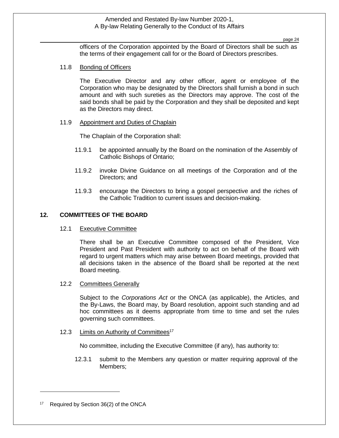page 24

officers of the Corporation appointed by the Board of Directors shall be such as the terms of their engagement call for or the Board of Directors prescribes.

## 11.8 Bonding of Officers

The Executive Director and any other officer, agent or employee of the Corporation who may be designated by the Directors shall furnish a bond in such amount and with such sureties as the Directors may approve. The cost of the said bonds shall be paid by the Corporation and they shall be deposited and kept as the Directors may direct.

### 11.9 Appointment and Duties of Chaplain

The Chaplain of the Corporation shall:

- 11.9.1 be appointed annually by the Board on the nomination of the Assembly of Catholic Bishops of Ontario;
- 11.9.2 invoke Divine Guidance on all meetings of the Corporation and of the Directors; and
- 11.9.3 encourage the Directors to bring a gospel perspective and the riches of the Catholic Tradition to current issues and decision-making.

### **12. COMMITTEES OF THE BOARD**

12.1 Executive Committee

There shall be an Executive Committee composed of the President, Vice President and Past President with authority to act on behalf of the Board with regard to urgent matters which may arise between Board meetings, provided that all decisions taken in the absence of the Board shall be reported at the next Board meeting.

#### 12.2 Committees Generally

Subject to the *Corporations Act* or the ONCA (as applicable), the Articles, and the By-Laws, the Board may, by Board resolution, appoint such standing and ad hoc committees as it deems appropriate from time to time and set the rules governing such committees.

12.3 Limits on Authority of Committees<sup>17</sup>

No committee, including the Executive Committee (if any), has authority to:

12.3.1 submit to the Members any question or matter requiring approval of the Members;

<sup>17</sup> Required by Section 36(2) of the ONCA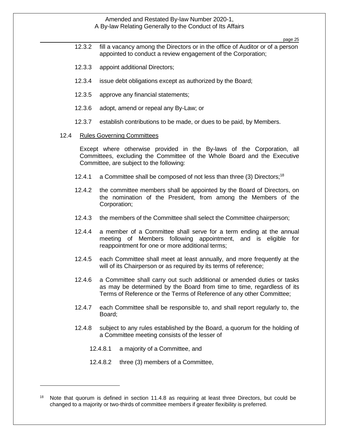page 25

- 12.3.2 fill a vacancy among the Directors or in the office of Auditor or of a person appointed to conduct a review engagement of the Corporation;
- 12.3.3 appoint additional Directors;
- 12.3.4 issue debt obligations except as authorized by the Board;
- 12.3.5 approve any financial statements;
- 12.3.6 adopt, amend or repeal any By-Law; or
- 12.3.7 establish contributions to be made, or dues to be paid, by Members.

#### 12.4 Rules Governing Committees

Except where otherwise provided in the By-laws of the Corporation, all Committees, excluding the Committee of the Whole Board and the Executive Committee, are subject to the following:

- 12.4.1 a Committee shall be composed of not less than three (3) Directors;<sup>18</sup>
- 12.4.2 the committee members shall be appointed by the Board of Directors, on the nomination of the President, from among the Members of the Corporation;
- 12.4.3 the members of the Committee shall select the Committee chairperson;
- 12.4.4 a member of a Committee shall serve for a term ending at the annual meeting of Members following appointment, and is eligible for reappointment for one or more additional terms;
- 12.4.5 each Committee shall meet at least annually, and more frequently at the will of its Chairperson or as required by its terms of reference;
- 12.4.6 a Committee shall carry out such additional or amended duties or tasks as may be determined by the Board from time to time, regardless of its Terms of Reference or the Terms of Reference of any other Committee;
- 12.4.7 each Committee shall be responsible to, and shall report regularly to, the Board;
- 12.4.8 subject to any rules established by the Board, a quorum for the holding of a Committee meeting consists of the lesser of
	- 12.4.8.1 a majority of a Committee, and
	- 12.4.8.2 three (3) members of a Committee,

Note that quorum is defined in section 11.4.8 as requiring at least three Directors, but could be changed to a majority or two-thirds of committee members if greater flexibility is preferred.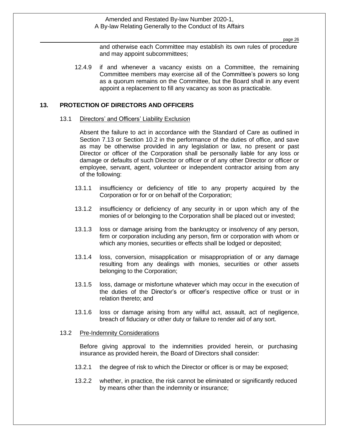page 26

and otherwise each Committee may establish its own rules of procedure and may appoint subcommittees;

12.4.9 if and whenever a vacancy exists on a Committee, the remaining Committee members may exercise all of the Committee's powers so long as a quorum remains on the Committee, but the Board shall in any event appoint a replacement to fill any vacancy as soon as practicable.

## **13. PROTECTION OF DIRECTORS AND OFFICERS**

#### 13.1 Directors' and Officers' Liability Exclusion

Absent the failure to act in accordance with the Standard of Care as outlined in Section 7.13 or Section 10.2 in the performance of the duties of office, and save as may be otherwise provided in any legislation or law, no present or past Director or officer of the Corporation shall be personally liable for any loss or damage or defaults of such Director or officer or of any other Director or officer or employee, servant, agent, volunteer or independent contractor arising from any of the following:

- 13.1.1 insufficiency or deficiency of title to any property acquired by the Corporation or for or on behalf of the Corporation;
- 13.1.2 insufficiency or deficiency of any security in or upon which any of the monies of or belonging to the Corporation shall be placed out or invested;
- 13.1.3 loss or damage arising from the bankruptcy or insolvency of any person, firm or corporation including any person, firm or corporation with whom or which any monies, securities or effects shall be lodged or deposited;
- 13.1.4 loss, conversion, misapplication or misappropriation of or any damage resulting from any dealings with monies, securities or other assets belonging to the Corporation;
- 13.1.5 loss, damage or misfortune whatever which may occur in the execution of the duties of the Director's or officer's respective office or trust or in relation thereto; and
- 13.1.6 loss or damage arising from any wilful act, assault, act of negligence, breach of fiduciary or other duty or failure to render aid of any sort.

#### 13.2 Pre-Indemnity Considerations

Before giving approval to the indemnities provided herein, or purchasing insurance as provided herein, the Board of Directors shall consider:

- 13.2.1 the degree of risk to which the Director or officer is or may be exposed;
- 13.2.2 whether, in practice, the risk cannot be eliminated or significantly reduced by means other than the indemnity or insurance;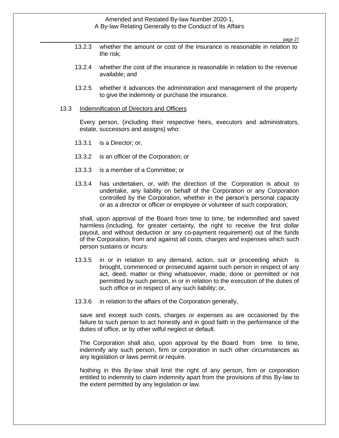page 27

- 13.2.3 whether the amount or cost of the insurance is reasonable in relation to the risk;
- 13.2.4 whether the cost of the insurance is reasonable in relation to the revenue available; and
- 13.2.5 whether it advances the administration and management of the property to give the indemnity or purchase the insurance.

#### 13.3 Indemnification of Directors and Officers

Every person, (including their respective heirs, executors and administrators, estate, successors and assigns) who:

- 13.3.1 is a Director; or,
- 13.3.2 is an officer of the Corporation; or
- 13.3.3 is a member of a Committee; or
- 13.3.4 has undertaken, or, with the direction of the Corporation is about to undertake, any liability on behalf of the Corporation or any Corporation controlled by the Corporation, whether in the person's personal capacity or as a director or officer or employee or volunteer of such corporation;

shall, upon approval of the Board from time to time, be indemnified and saved harmless (including, for greater certainty, the right to receive the first dollar payout, and without deduction or any co-payment requirement) out of the funds of the Corporation, from and against all costs, charges and expenses which such person sustains or incurs:

- 13.3.5 in or in relation to any demand, action, suit or proceeding which is brought, commenced or prosecuted against such person in respect of any act, deed, matter or thing whatsoever, made, done or permitted or not permitted by such person, in or in relation to the execution of the duties of such office or in respect of any such liability; or,
- 13.3.6 in relation to the affairs of the Corporation generally,

save and except such costs, charges or expenses as are occasioned by the failure to such person to act honestly and in good faith in the performance of the duties of office, or by other wilful neglect or default.

The Corporation shall also, upon approval by the Board from time to time, indemnify any such person, firm or corporation in such other circumstances as any legislation or laws permit or require.

Nothing in this By-law shall limit the right of any person, firm or corporation entitled to indemnity to claim indemnity apart from the provisions of this By-law to the extent permitted by any legislation or law.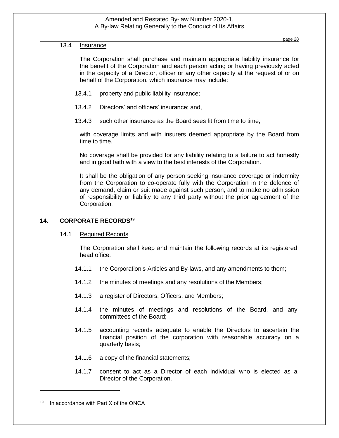## 13.4 Insurance

The Corporation shall purchase and maintain appropriate liability insurance for the benefit of the Corporation and each person acting or having previously acted in the capacity of a Director, officer or any other capacity at the request of or on behalf of the Corporation, which insurance may include:

- 13.4.1 property and public liability insurance;
- 13.4.2 Directors' and officers' insurance; and,
- 13.4.3 such other insurance as the Board sees fit from time to time;

with coverage limits and with insurers deemed appropriate by the Board from time to time.

No coverage shall be provided for any liability relating to a failure to act honestly and in good faith with a view to the best interests of the Corporation.

It shall be the obligation of any person seeking insurance coverage or indemnity from the Corporation to co-operate fully with the Corporation in the defence of any demand, claim or suit made against such person, and to make no admission of responsibility or liability to any third party without the prior agreement of the Corporation.

## **14. CORPORATE RECORDS<sup>19</sup>**

14.1 Required Records

The Corporation shall keep and maintain the following records at its registered head office:

- 14.1.1 the Corporation's Articles and By-laws, and any amendments to them;
- 14.1.2 the minutes of meetings and any resolutions of the Members;
- 14.1.3 a register of Directors, Officers, and Members;
- 14.1.4 the minutes of meetings and resolutions of the Board, and any committees of the Board;
- 14.1.5 accounting records adequate to enable the Directors to ascertain the financial position of the corporation with reasonable accuracy on a quarterly basis;
- 14.1.6 a copy of the financial statements;
- 14.1.7 consent to act as a Director of each individual who is elected as a Director of the Corporation.

 $19$  In accordance with Part X of the ONCA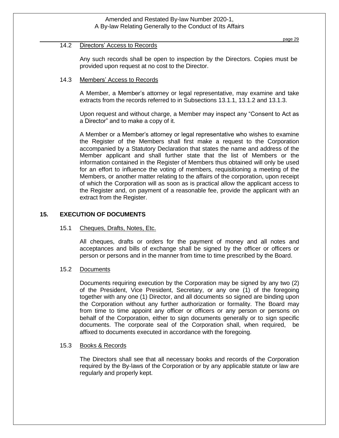#### page 29

#### 14.2 Directors' Access to Records

Any such records shall be open to inspection by the Directors. Copies must be provided upon request at no cost to the Director.

## 14.3 Members' Access to Records

A Member, a Member's attorney or legal representative, may examine and take extracts from the records referred to in Subsections 13.1.1, 13.1.2 and 13.1.3.

Upon request and without charge, a Member may inspect any "Consent to Act as a Director" and to make a copy of it.

A Member or a Member's attorney or legal representative who wishes to examine the Register of the Members shall first make a request to the Corporation accompanied by a Statutory Declaration that states the name and address of the Member applicant and shall further state that the list of Members or the information contained in the Register of Members thus obtained will only be used for an effort to influence the voting of members, requisitioning a meeting of the Members, or another matter relating to the affairs of the corporation, upon receipt of which the Corporation will as soon as is practical allow the applicant access to the Register and, on payment of a reasonable fee, provide the applicant with an extract from the Register.

## **15. EXECUTION OF DOCUMENTS**

#### 15.1 Cheques, Drafts, Notes, Etc.

All cheques, drafts or orders for the payment of money and all notes and acceptances and bills of exchange shall be signed by the officer or officers or person or persons and in the manner from time to time prescribed by the Board.

#### 15.2 Documents

Documents requiring execution by the Corporation may be signed by any two (2) of the President, Vice President, Secretary, or any one (1) of the foregoing together with any one (1) Director, and all documents so signed are binding upon the Corporation without any further authorization or formality. The Board may from time to time appoint any officer or officers or any person or persons on behalf of the Corporation, either to sign documents generally or to sign specific documents. The corporate seal of the Corporation shall, when required, be affixed to documents executed in accordance with the foregoing.

#### 15.3 Books & Records

The Directors shall see that all necessary books and records of the Corporation required by the By-laws of the Corporation or by any applicable statute or law are regularly and properly kept.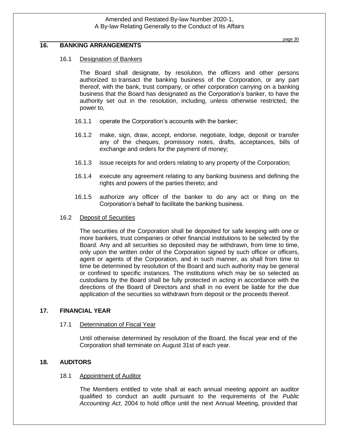## **16. BANKING ARRANGEMENTS**

## 16.1 Designation of Bankers

The Board shall designate, by resolution, the officers and other persons authorized to transact the banking business of the Corporation, or any part thereof, with the bank, trust company, or other corporation carrying on a banking business that the Board has designated as the Corporation's banker, to have the authority set out in the resolution, including, unless otherwise restricted, the power to,

- 16.1.1 operate the Corporation's accounts with the banker;
- 16.1.2 make, sign, draw, accept, endorse, negotiate, lodge, deposit or transfer any of the cheques, promissory notes, drafts, acceptances, bills of exchange and orders for the payment of money;
- 16.1.3 issue receipts for and orders relating to any property of the Corporation;
- 16.1.4 execute any agreement relating to any banking business and defining the rights and powers of the parties thereto; and
- 16.1.5 authorize any officer of the banker to do any act or thing on the Corporation's behalf to facilitate the banking business.

## 16.2 Deposit of Securities

The securities of the Corporation shall be deposited for safe keeping with one or more bankers, trust companies or other financial institutions to be selected by the Board. Any and all securities so deposited may be withdrawn, from time to time, only upon the written order of the Corporation signed by such officer or officers, agent or agents of the Corporation, and in such manner, as shall from time to time be determined by resolution of the Board and such authority may be general or confined to specific instances. The institutions which may be so selected as custodians by the Board shall be fully protected in acting in accordance with the directions of the Board of Directors and shall in no event be liable for the due application of the securities so withdrawn from deposit or the proceeds thereof.

## **17. FINANCIAL YEAR**

## 17.1 Determination of Fiscal Year

Until otherwise determined by resolution of the Board, the fiscal year end of the Corporation shall terminate on August 31st of each year.

## **18. AUDITORS**

## 18.1 Appointment of Auditor

The Members entitled to vote shall at each annual meeting appoint an auditor qualified to conduct an audit pursuant to the requirements of the *Public Accounting Act*, 2004 to hold office until the next Annual Meeting, provided that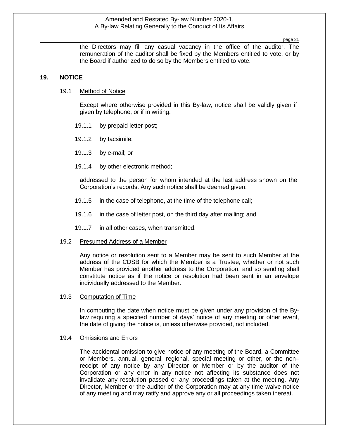page 31

the Directors may fill any casual vacancy in the office of the auditor. The remuneration of the auditor shall be fixed by the Members entitled to vote, or by the Board if authorized to do so by the Members entitled to vote.

#### **19. NOTICE**

#### 19.1 Method of Notice

Except where otherwise provided in this By-law, notice shall be validly given if given by telephone, or if in writing:

- 19.1.1 by prepaid letter post;
- 19.1.2 by facsimile;
- 19.1.3 by e-mail; or
- 19.1.4 by other electronic method;

addressed to the person for whom intended at the last address shown on the Corporation's records. Any such notice shall be deemed given:

- 19.1.5 in the case of telephone, at the time of the telephone call;
- 19.1.6 in the case of letter post, on the third day after mailing; and
- 19.1.7 in all other cases, when transmitted.

#### 19.2 Presumed Address of a Member

Any notice or resolution sent to a Member may be sent to such Member at the address of the CDSB for which the Member is a Trustee, whether or not such Member has provided another address to the Corporation, and so sending shall constitute notice as if the notice or resolution had been sent in an envelope individually addressed to the Member.

#### 19.3 Computation of Time

In computing the date when notice must be given under any provision of the Bylaw requiring a specified number of days' notice of any meeting or other event, the date of giving the notice is, unless otherwise provided, not included.

#### 19.4 Omissions and Errors

The accidental omission to give notice of any meeting of the Board, a Committee or Members, annual, general, regional, special meeting or other, or the non– receipt of any notice by any Director or Member or by the auditor of the Corporation or any error in any notice not affecting its substance does not invalidate any resolution passed or any proceedings taken at the meeting. Any Director, Member or the auditor of the Corporation may at any time waive notice of any meeting and may ratify and approve any or all proceedings taken thereat.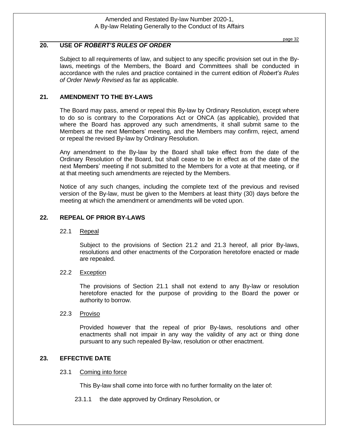#### page 32

## **20. USE OF** *ROBERT'S RULES OF ORDER*

Subject to all requirements of law, and subject to any specific provision set out in the Bylaws, meetings of the Members, the Board and Committees shall be conducted in accordance with the rules and practice contained in the current edition of *Robert's Rules of Order Newly Revised* as far as applicable.

## **21. AMENDMENT TO THE BY-LAWS**

The Board may pass, amend or repeal this By-law by Ordinary Resolution, except where to do so is contrary to the Corporations Act or ONCA (as applicable), provided that where the Board has approved any such amendments, it shall submit same to the Members at the next Members' meeting, and the Members may confirm, reject, amend or repeal the revised By-law by Ordinary Resolution.

Any amendment to the By-law by the Board shall take effect from the date of the Ordinary Resolution of the Board, but shall cease to be in effect as of the date of the next Members' meeting if not submitted to the Members for a vote at that meeting, or if at that meeting such amendments are rejected by the Members.

Notice of any such changes, including the complete text of the previous and revised version of the By-law, must be given to the Members at least thirty (30) days before the meeting at which the amendment or amendments will be voted upon.

## **22. REPEAL OF PRIOR BY-LAWS**

## 22.1 Repeal

Subject to the provisions of Section 21.2 and 21.3 hereof, all prior By-laws, resolutions and other enactments of the Corporation heretofore enacted or made are repealed.

#### 22.2 Exception

The provisions of Section 21.1 shall not extend to any By-law or resolution heretofore enacted for the purpose of providing to the Board the power or authority to borrow.

#### 22.3 Proviso

Provided however that the repeal of prior By-laws, resolutions and other enactments shall not impair in any way the validity of any act or thing done pursuant to any such repealed By-law, resolution or other enactment.

## **23. EFFECTIVE DATE**

#### 23.1 Coming into force

This By-law shall come into force with no further formality on the later of:

23.1.1 the date approved by Ordinary Resolution, or